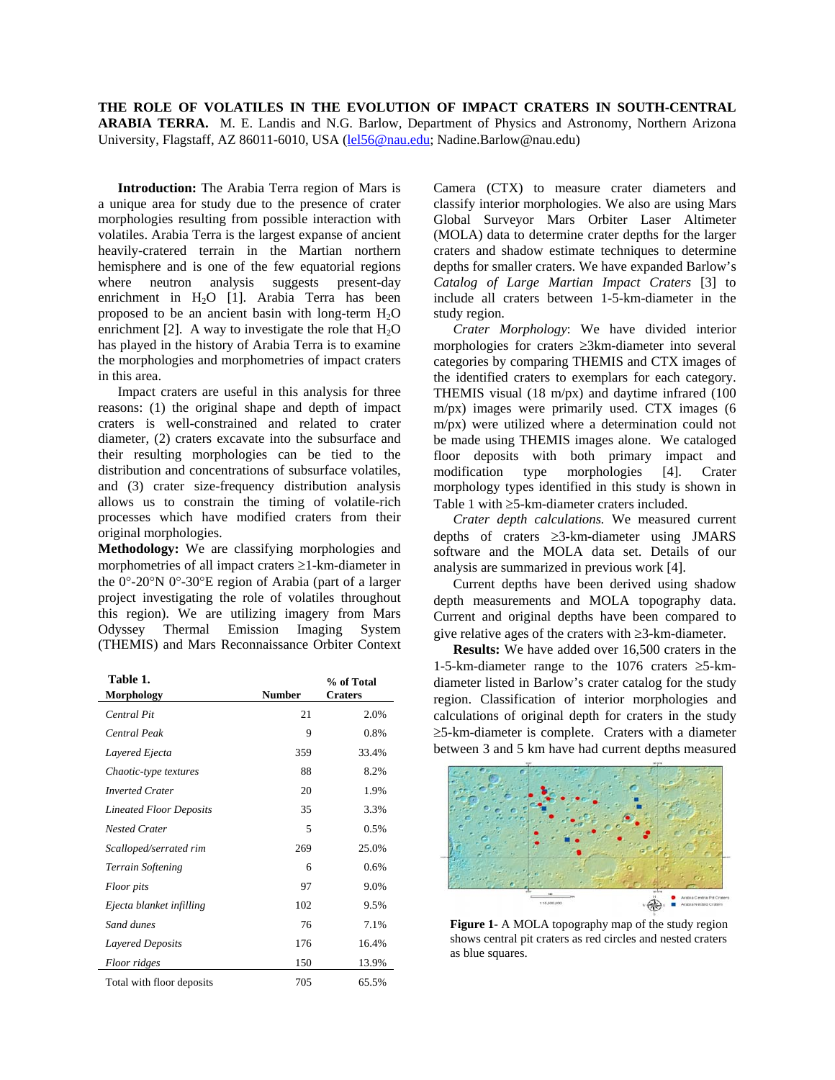**THE ROLE OF VOLATILES IN THE EVOLUTION OF IMPACT CRATERS IN SOUTH-CENTRAL ARABIA TERRA.** M. E. Landis and N.G. Barlow, Department of Physics and Astronomy, Northern Arizona University, Flagstaff, AZ 86011-6010, USA ([lel56@nau.edu](mailto:lel56@nau.edu); Nadine.Barlow@nau.edu)

**Introduction:** The Arabia Terra region of Mars is a unique area for study due to the presence of crater morphologies resulting from possible interaction with volatiles. Arabia Terra is the largest expanse of ancient heavily-cratered terrain in the Martian northern hemisphere and is one of the few equatorial regions where neutron analysis suggests present-day enrichment in H<sub>2</sub>O [1]. Arabia Terra has been proposed to be an ancient basin with long-term  $H_2O$ enrichment [2]. A way to investigate the role that  $H_2O$ has played in the history of Arabia Terra is to examine the morphologies and morphometries of impact craters in this area.

Impact craters are useful in this analysis for three reasons: (1) the original shape and depth of impact craters is well-constrained and related to crater diameter, (2) craters excavate into the subsurface and their resulting morphologies can be tied to the distribution and concentrations of subsurface volatiles, and (3) crater size-frequency distribution analysis allows us to constrain the timing of volatile-rich processes which have modified craters from their original morphologies.

**Methodology:** We are classifying morphologies and morphometries of all impact craters ≥1-km-diameter in the 0°-20°N 0°-30°E region of Arabia (part of a larger project investigating the role of volatiles throughout this region). We are utilizing imagery from Mars Odyssey Thermal Emission Imaging System (THEMIS) and Mars Reconnaissance Orbiter Context

| Table 1.                       |               | % of Total     |
|--------------------------------|---------------|----------------|
| Morphology                     | <b>Number</b> | <b>Craters</b> |
| <b>Central Pit</b>             | 21            | 2.0%           |
| <b>Central Peak</b>            | 9             | 0.8%           |
| Layered Ejecta                 | 359           | 33.4%          |
| Chaotic-type textures          | 88            | 8.2%           |
| <b>Inverted Crater</b>         | 20            | 1.9%           |
| <b>Lineated Floor Deposits</b> | 35            | 3.3%           |
| <b>Nested Crater</b>           | 5             | 0.5%           |
| Scalloped/serrated rim         | 269           | 25.0%          |
| <b>Terrain Softening</b>       | 6             | 0.6%           |
| Floor pits                     | 97            | 9.0%           |
| Ejecta blanket infilling       | 102           | 9.5%           |
| Sand dunes                     | 76            | 7.1%           |
| Layered Deposits               | 176           | 16.4%          |
| Floor ridges                   | 150           | 13.9%          |
| Total with floor deposits      | 705           | 65.5%          |

Camera (CTX) to measure crater diameters and classify interior morphologies. We also are using Mars Global Surveyor Mars Orbiter Laser Altimeter (MOLA) data to determine crater depths for the larger craters and shadow estimate techniques to determine depths for smaller craters. We have expanded Barlow's *Catalog of Large Martian Impact Craters* [3] to include all craters between 1-5-km-diameter in the study region.

*Crater Morphology*: We have divided interior morphologies for craters ≥3km-diameter into several categories by comparing THEMIS and CTX images of the identified craters to exemplars for each category. THEMIS visual (18 m/px) and daytime infrared (100 m/px) images were primarily used. CTX images (6 m/px) were utilized where a determination could not be made using THEMIS images alone. We cataloged floor deposits with both primary impact and modification type morphologies [4]. Crater morphology types identified in this study is shown in Table 1 with ≥5-km-diameter craters included.

*Crater depth calculations.* We measured current depths of craters ≥3-km-diameter using JMARS software and the MOLA data set. Details of our analysis are summarized in previous work [4].

Current depths have been derived using shadow depth measurements and MOLA topography data. Current and original depths have been compared to give relative ages of the craters with ≥3-km-diameter.

**Results:** We have added over 16,500 craters in the 1-5-km-diameter range to the 1076 craters ≥5-kmdiameter listed in Barlow's crater catalog for the study region. Classification of interior morphologies and calculations of original depth for craters in the study ≥5-km-diameter is complete. Craters with a diameter between 3 and 5 km have had current depths measured



**Figure 1**- A MOLA topography map of the study region shows central pit craters as red circles and nested craters as blue squares.